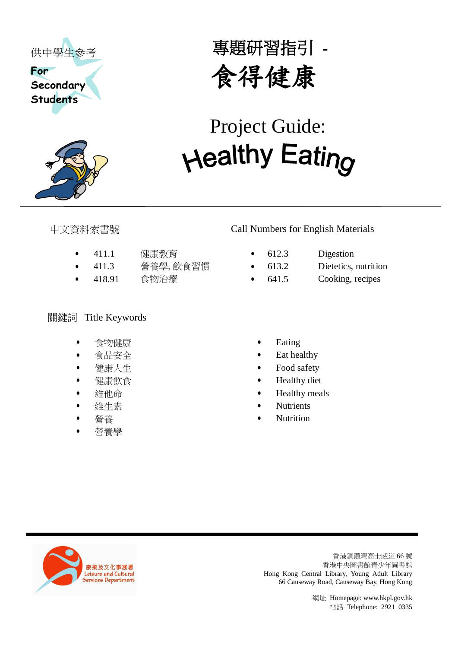



專題研習指引 - 食得健康

# <del>Change of the state of the state of the state of the state of the state of the state of the state of the state of the state of the state of the state of the state of the state of the state of the state of the state of t</del> Project Guide:

- 411.1 健康教育 612.3 Digestion
- 411.3 營養學, 飲食習慣 613.2 Dietetics, nutrition
- 

# 關鍵詞 Title Keywords

- 食物健康
- 食品安全
- 健康人生
- 健康飲食
- 維他命
- 維生素
- 營養
- 營養學

## 中文資料索書號 Call Numbers for English Materials

- -
- 418.91 食物治療 641.5 Cooking, recipes
	- Eating
	- Eat healthy
	- Food safety
	- Healthy diet
	- Healthy meals
	- **Nutrients**
	- Nutrition



香港銅鑼灣高士威道 66 號 香港中央圖書館青少年圖書館 Hong Kong Central Library, Young Adult Library 66 Causeway Road, Causeway Bay, Hong Kong

網址 Homepage[: www.hkpl.gov.hk](http://www.hkpl.gov.hk/)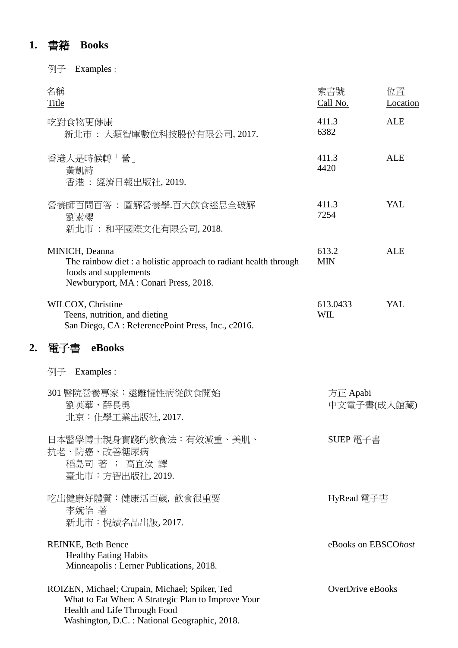# **1.** 書籍 **Books**

例子 Examples :

|    | 名稱<br><b>Title</b>                                                                                                                                                                   | 索書號<br>Call No.         | 位置<br>Location |
|----|--------------------------------------------------------------------------------------------------------------------------------------------------------------------------------------|-------------------------|----------------|
|    | 吃對食物更健康<br>新北市 : 人類智庫數位科技股份有限公司, 2017.                                                                                                                                               | 411.3<br>6382           | <b>ALE</b>     |
|    | 香港人是時候轉「營」<br>黃凱詩<br>香港: 經濟日報出版社, 2019.                                                                                                                                              | 411.3<br>4420           | <b>ALE</b>     |
|    | 營養師百問百答 : 圖解營養學.百大飲食迷思全破解<br>劉素櫻<br>新北市 : 和平國際文化有限公司, 2018.                                                                                                                          | 411.3<br>7254           | YAL            |
|    | MINICH, Deanna<br>The rainbow diet: a holistic approach to radiant health through<br>foods and supplements<br>Newburyport, MA: Conari Press, 2018.                                   | 613.2<br><b>MIN</b>     | <b>ALE</b>     |
|    | WILCOX, Christine<br>Teens, nutrition, and dieting<br>San Diego, CA: ReferencePoint Press, Inc., c2016.                                                                              | 613.0433<br><b>WIL</b>  | YAL            |
| 2. | eBooks<br>電子書                                                                                                                                                                        |                         |                |
|    | Examples :<br>例子                                                                                                                                                                     |                         |                |
|    | 301 醫院營養專家:遠離慢性病從飲食開始<br>劉英華,薛長勇<br>北京:化學工業出版社,2017.                                                                                                                                 | 方正 Apabi<br>中文電子書(成人館藏) |                |
|    | 日本醫學博士親身實踐的飲食法:有效減重、美肌、<br>抗老、防癌、改善糖尿病<br>稻島司著; 高宜汝譯<br>臺北市:方智出版社, 2019.                                                                                                             | SUEP 電子書                |                |
|    | 吃出健康好體質:健康活百歲,飲食很重要<br>李婉怡 著<br>新北市:悅讀名品出版, 2017.                                                                                                                                    | HyRead 電子書              |                |
|    | <b>REINKE, Beth Bence</b><br><b>Healthy Eating Habits</b><br>Minneapolis: Lerner Publications, 2018.                                                                                 | eBooks on EBSCOhost     |                |
|    | ROIZEN, Michael; Crupain, Michael; Spiker, Ted<br>What to Eat When: A Strategic Plan to Improve Your<br>Health and Life Through Food<br>Washington, D.C.: National Geographic, 2018. | OverDrive eBooks        |                |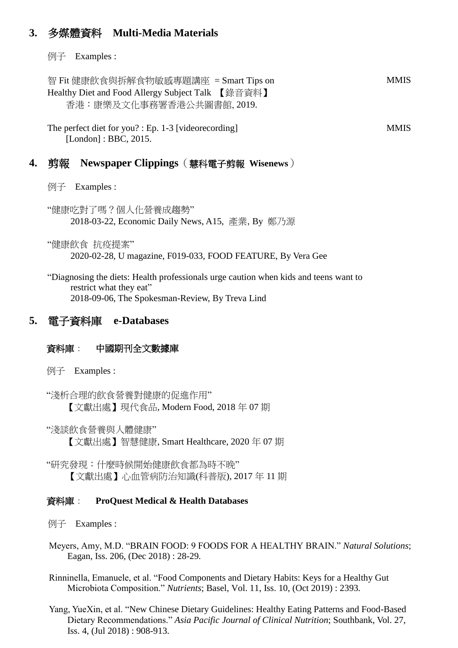## **3.** 多媒體資料 **Multi-Media Materials**

例子 Examples :

智 Fit 健康飲食與拆解食物敏感專題講座 = Smart Tips on Healthy Diet and Food Allergy Subject Talk 【錄音資料】 香港:康樂及文化事務署香港公共圖書館, 2019.

The perfect diet for you? : Ep. 1-3 [videorecording] [London] : BBC, 2015.

### **4.** 剪報 **Newspaper Clippings**(慧科電子剪報 **Wisenews**)

例子 Examples :

"健康吃對了嗎?個人化營養成趨勢" 2018-03-22, Economic Daily News, A15, 產業, By 鄭乃源

"健康飲食 抗疫提案" 2020-02-28, U magazine, F019-033, FOOD FEATURE, By Vera Gee

"Diagnosing the diets: Health professionals urge caution when kids and teens want to restrict what they eat" 2018-09-06, The Spokesman-Review, By Treva Lind

### **5.** 電子資料庫 **e-Databases**

### 資料庫: 中國期刊全文數據庫

例子 Examples :

"淺析合理的飲食營養對健康的促進作用" 【文獻出處】現代食品, Modern Food, 2018 年 07 期

"淺談飲食營養與人體健康" 【文獻出處】智慧健康, Smart Healthcare, 2020 年 07 期

"研究發現:什麼時候開始健康飲食都為時不晚" 【文獻出處】心血管病防治知識(科普版), 2017 年 11 期

### 資料庫: **ProQuest Medical & Health Databases**

例子 Examples :

- Meyers, Amy, M.D. "BRAIN FOOD: 9 FOODS FOR A HEALTHY BRAIN." *Natural Solutions*; Eagan, Iss. 206, (Dec 2018) : 28-29*.*
- Rinninella, Emanuele, et al. "Food Components and Dietary Habits: Keys for a Healthy Gut Microbiota Composition." *Nutrients*; Basel, Vol. 11, Iss. 10, (Oct 2019) : 2393*.*
- Yang, YueXin, et al. "New Chinese Dietary Guidelines: Healthy Eating Patterns and Food-Based Dietary Recommendations." *Asia Pacific Journal of Clinical Nutrition*; Southbank, Vol. 27, Iss. 4, (Jul 2018) : 908-913.

**MMIS** 

**MMIS**